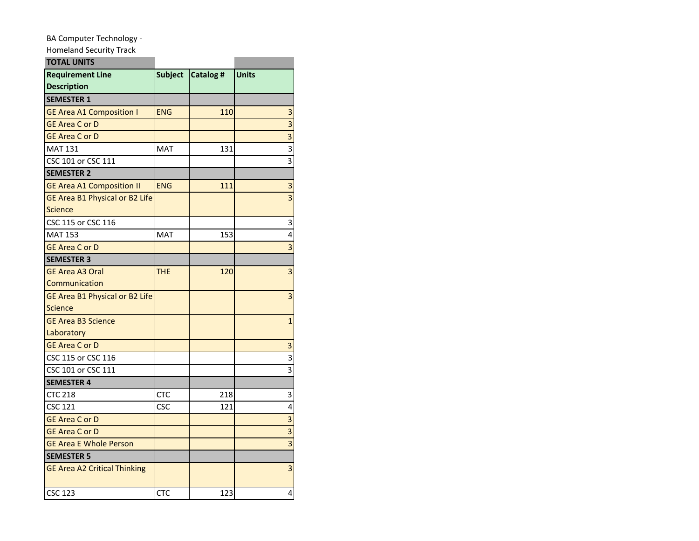## BA Computer Technology -

Homeland Security Track

| <b>TOTAL UNITS</b>                  |                |           |                         |
|-------------------------------------|----------------|-----------|-------------------------|
| <b>Requirement Line</b>             | <b>Subject</b> | Catalog # | Units                   |
| <b>Description</b>                  |                |           |                         |
| <b>SEMESTER 1</b>                   |                |           |                         |
| <b>GE Area A1 Composition I</b>     | <b>ENG</b>     | 110       | 3                       |
| <b>GE Area C or D</b>               |                |           | $\overline{\mathbf{3}}$ |
| <b>GE Area C or D</b>               |                |           | $\overline{3}$          |
| <b>MAT 131</b>                      | MAT            | 131       | 3                       |
| CSC 101 or CSC 111                  |                |           | 3                       |
| <b>SEMESTER 2</b>                   |                |           |                         |
| <b>GE Area A1 Composition II</b>    | <b>ENG</b>     | 111       | 3                       |
| GE Area B1 Physical or B2 Life      |                |           | $\overline{\mathbf{3}}$ |
| <b>Science</b>                      |                |           |                         |
| CSC 115 or CSC 116                  |                |           | 3                       |
| <b>MAT 153</b>                      | MAT            | 153       | 4                       |
| <b>GE Area C or D</b>               |                |           | $\overline{\mathbf{3}}$ |
| <b>SEMESTER 3</b>                   |                |           |                         |
| <b>GE Area A3 Oral</b>              | THE            | 120       | 3                       |
| Communication                       |                |           |                         |
| GE Area B1 Physical or B2 Life      |                |           | 3                       |
| <b>Science</b>                      |                |           |                         |
| <b>GE Area B3 Science</b>           |                |           | $\mathbf{1}$            |
| Laboratory                          |                |           |                         |
| <b>GE Area C or D</b>               |                |           | 3                       |
| CSC 115 or CSC 116                  |                |           | 3                       |
| CSC 101 or CSC 111                  |                |           | 3                       |
| <b>SEMESTER 4</b>                   |                |           |                         |
| <b>CTC 218</b>                      | CTC            | 218       | 3                       |
| <b>CSC 121</b>                      | <b>CSC</b>     | 121       | 4                       |
| <b>GE Area C or D</b>               |                |           | 3                       |
| <b>GE Area C or D</b>               |                |           | 3                       |
| <b>GE Area E Whole Person</b>       |                |           | $\overline{\mathbf{3}}$ |
| <b>SEMESTER 5</b>                   |                |           |                         |
| <b>GE Area A2 Critical Thinking</b> |                |           | 3                       |
| <b>CSC 123</b>                      | <b>CTC</b>     | 123       | 4                       |